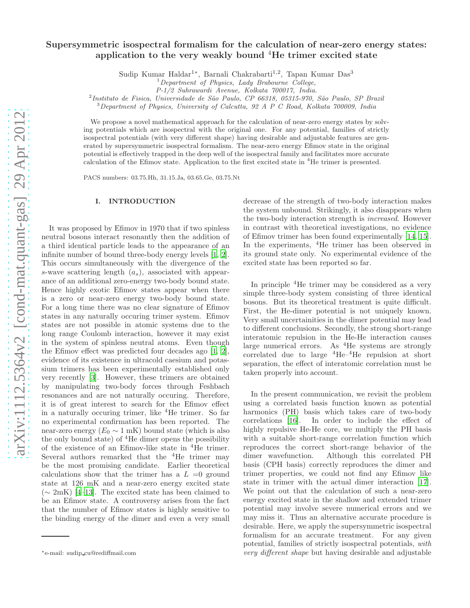# Supersymmetric isospectral formalism for the calculation of near-zero energy states: application to the very weakly bound  ${}^{4}$ He trimer excited state

Sudip Kumar Haldar<sup>1</sup>\*, Barnali Chakrabarti<sup>1,2</sup>, Tapan Kumar Das<sup>3</sup>

P-1/2 Suhrawardi Avenue, Kolkata 700017, India.

<sup>2</sup>Instituto de Fisica, Universidade de São Paulo, CP 66318, 05315-970, São Paulo, SP Brazil

 $3$ Department of Physics, University of Calcutta, 92 A P C Road, Kolkata 700009, India

We propose a novel mathematical approach for the calculation of near-zero energy states by solving potentials which are isospectral with the original one. For any potential, families of strictly isospectral potentials (with very different shape) having desirable and adjustable features are generated by supersymmetric isospectral formalism. The near-zero energy Efimov state in the original potential is effectively trapped in the deep well of the isospectral family and facilitates more accurate calculation of the Efimov state. Application to the first excited state in <sup>4</sup>He trimer is presented.

PACS numbers: 03.75.Hh, 31.15.Ja, 03.65.Ge, 03.75.Nt

## I. INTRODUCTION

It was proposed by Efimov in 1970 that if two spinless neutral bosons interact resonantly then the addition of a third identical particle leads to the appearance of an infinite number of bound three-body energy levels [\[1,](#page-6-0) [2\]](#page-6-1). This occurs simultaneously with the divergence of the s-wave scattering length  $(a_s)$ , associated with appearance of an additional zero-energy two-body bound state. Hence highly exotic Efimov states appear when there is a zero or near-zero energy two-body bound state. For a long time there was no clear signature of Efimov states in any naturally occuring trimer system. Efimov states are not possible in atomic systems due to the long range Coulomb interaction, however it may exist in the system of spinless neutral atoms. Even though the Efimov effect was predicted four decades ago [\[1,](#page-6-0) [2\]](#page-6-1), evidence of its existence in ultracold caesium and potassium trimers has been experimentally established only very recently [\[3\]](#page-6-2). However, these trimers are obtained by manipulating two-body forces through Feshbach resonances and are not naturally occuring. Therefore, it is of great interest to search for the Efimov effect in a naturally occuring trimer, like  ${}^{4}$ He trimer. So far no experimental confirmation has been reported. The near-zero energy  $(E_0 \sim 1 \text{ mK})$  bound state (which is also the only bound state) of  ${}^{4}$ He dimer opens the possibility of the existence of an Efimov-like state in <sup>4</sup>He trimer. Several authors remarked that the  ${}^{4}$ He trimer may be the most promising candidate. Earlier theoretical calculations show that the trimer has a  $L = 0$  ground state at 126 mK and a near-zero energy excited state (∼ 2mK) [\[4](#page-6-3)[–13\]](#page-7-0). The excited state has been claimed to be an Efimov state. A controversy arises from the fact that the number of Efimov states is highly sensitive to the binding energy of the dimer and even a very small

decrease of the strength of two-body interaction makes the system unbound. Strikingly, it also disappears when the two-body interaction strength is increased. However in contrast with theoretical investigations, no evidence of Efimov trimer has been found experimentally [\[14,](#page-7-1) [15\]](#page-7-2). In the experiments, <sup>4</sup>He trimer has been observed in its ground state only. No experimental evidence of the excited state has been reported so far.

In principle <sup>4</sup>He trimer may be considered as a very simple three-body system consisting of three identical bosons. But its theoretical treatment is quite difficult. First, the He-dimer potential is not uniquely known. Very small uncertainities in the dimer potential may lead to different conclusions. Secondly, the strong short-range interatomic repulsion in the He-He interaction causes large numerical errors. As  ${}^{4}$ He systems are strongly correlated due to large  ${}^{4}$ He– ${}^{4}$ He repulsion at short separation, the effect of interatomic correlation must be taken properly into account.

In the present communication, we revisit the problem using a correlated basis function known as potential harmonics (PH) basis which takes care of two-body correlations [\[16\]](#page-7-3). In order to include the effect of highly repulsive He-He core, we multiply the PH basis with a suitable short-range correlation function which reproduces the correct short-range behavior of the dimer wavefunction. Although this correlated PH basis (CPH basis) correctly reproduces the dimer and trimer properties, we could not find any Efimov like state in trimer with the actual dimer interaction [\[17\]](#page-7-4). We point out that the calculation of such a near-zero energy excited state in the shallow and extended trimer potential may involve severe numerical errors and we may miss it. Thus an alternative accurate procedure is desirable. Here, we apply the supersymmetric isospectral formalism for an accurate treatment. For any given potential, families of strictly isospectral potentials, with very different shape but having desirable and adjustable

<sup>1</sup>Department of Physics, Lady Brabourne College,

<sup>∗</sup>e-mail: sudip cu@rediffmail.com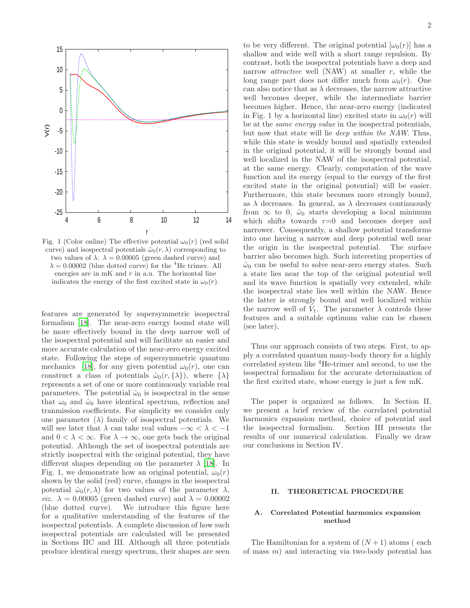

Fig. 1 (Color online) The effective potential  $\omega_0(r)$  (red solid curve) and isospectral potentials  $\hat{\omega}_0(r, \lambda)$  corresponding to two values of  $\lambda$ :  $\lambda = 0.00005$  (green dashed curve) and  $\lambda = 0.00002$  (blue dotted curve) for the <sup>4</sup>He trimer. All energies are in  $mK$  and  $r$  in a.u. The horizontal line indicates the energy of the first excited state in  $\omega_0(r)$ .

features are generated by supersymmetric isospectral formalism [\[18](#page-7-5)]. The near-zero energy bound state will be more effectively bound in the deep narrow well of the isospectral potential and will facilitate an easier and more accurate calculation of the near-zero energy excited state. Following the steps of supersymmetric quantum mechanics [\[18](#page-7-5)], for any given potential  $\omega_0(r)$ , one can construct a class of potentials  $\hat{\omega}_0(r, \{\lambda\})$ , where  $\{\lambda\}$ represents a set of one or more continuously variable real parameters. The potential  $\hat{\omega}_0$  is isospectral in the sense that  $\omega_0$  and  $\hat{\omega}_0$  have identical spectrum, reflection and tranmission coefficients. For simplicity we consider only one parameter  $(\lambda)$  family of isospectral potentials. We will see later that  $\lambda$  can take real values  $-\infty < \lambda < -1$ and  $0 < \lambda < \infty$ . For  $\lambda \to \infty$ , one gets back the original potential. Although the set of isospectral potentials are strictly isospectral with the original potential, they have different shapes depending on the parameter  $\lambda$  [\[18](#page-7-5)]. In Fig. 1, we demonstrate how an original potential,  $\omega_0(r)$ shown by the solid (red) curve, changes in the isospectral potential  $\hat{\omega}_0(r, \lambda)$  for two values of the parameter  $\lambda$ , *viz.*  $\lambda = 0.00005$  (green dashed curve) and  $\lambda = 0.00002$ (blue dotted curve). We introduce this figure here for a qualitative understanding of the features of the isospectral potentials. A complete discussion of how such isospectral potentials are calculated will be presented in Sections IIC and III. Although all three potentials produce identical energy spectrum, their shapes are seen to be very different. The original potential  $[\omega_0(r)]$  has a shallow and wide well with a short range repulsion. By contrast, both the isospectral potentials have a deep and narrow *attractive* well (NAW) at smaller  $r$ , while the long range part does not differ much from  $\omega_0(r)$ . One can also notice that as  $\lambda$  decreases, the narrow attractive well becomes deeper, while the intermediate barrier becomes higher. Hence, the near-zero energy (indicated in Fig. 1 by a horizontal line) excited state in  $\omega_0(r)$  will be at the same energy value in the isospectral potentials, but now that state will lie deep within the NAW. Thus, while this state is weakly bound and spatially extended in the original potential, it will be strongly bound and well localized in the NAW of the isospectral potential, at the same energy. Clearly, computation of the wave function and its energy (equal to the energy of the first excited state in the original potential) will be easier. Furthermore, this state becomes more strongly bound, as  $\lambda$  decreases. In general, as  $\lambda$  decreases continuously from  $\infty$  to 0,  $\hat{\omega}_0$  starts developing a local minimum which shifts towards  $r=0$  and becomes deeper and narrower. Consequently, a shallow potential transforms into one having a narrow and deep potential well near the origin in the isospectral potential. The surface barrier also becomes high. Such interesting properties of  $\hat{\omega}_0$  can be useful to solve near-zero energy states. Such a state lies near the top of the original potential well and its wave function is spatially very extended, while the isospectral state lies well within the NAW. Hence the latter is strongly bound and well localized within the narrow well of  $\tilde{V}_1$ . The parameter  $\lambda$  controls these features and a suitable optimum value can be chosen (see later).

Thus our approach consists of two steps. First, to apply a correlated quantum many-body theory for a highly correlated system like <sup>4</sup>He-trimer and second, to use the isospectral formalism for the accurate determination of the first excited state, whose energy is just a few mK.

The paper is organized as follows. In Section II, we present a brief review of the correlated potential harmonics expansion method, choice of potential and the isospectral formalism. Section III presents the results of our numerical calculation. Finally we draw our conclusions in Section IV.

### II. THEORETICAL PROCEDURE

## A. Correlated Potential harmonics expansion method

The Hamiltonian for a system of  $(N+1)$  atoms (each of mass  $m$ ) and interacting via two-body potential has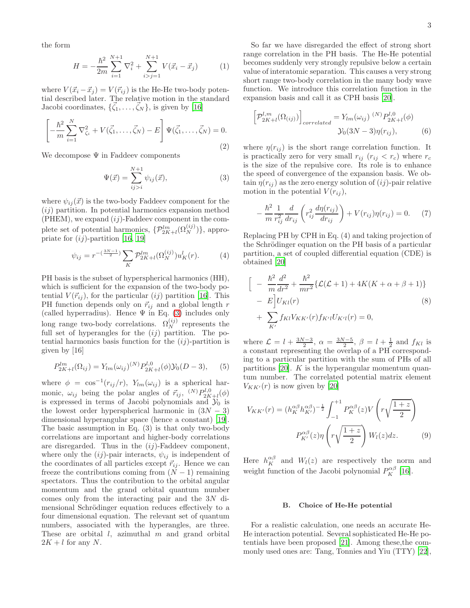the form

$$
H = -\frac{\hbar^2}{2m} \sum_{i=1}^{N+1} \nabla_i^2 + \sum_{i>j=1}^{N+1} V(\vec{x}_i - \vec{x}_j)
$$
 (1)

where  $V(\vec{x}_i - \vec{x}_j) = V(\vec{r}_{ij})$  is the He-He two-body potential described later. The relative motion in the standard Jacobi coordinates,  $\{\vec{\zeta}_1, \ldots, \vec{\zeta}_N\}$ , is given by [\[16](#page-7-3)]

$$
\left[ -\frac{\hbar^2}{m} \sum_{i=1}^N \nabla_{\zeta_i}^2 + V(\vec{\zeta}_1, \dots, \vec{\zeta}_N) - E \right] \Psi(\vec{\zeta}_1, \dots, \vec{\zeta}_N) = 0.
$$
\n(2)

We decompose  $\Psi$  in Faddeev components

<span id="page-2-0"></span>
$$
\Psi(\vec{x}) = \sum_{ij>i}^{N+1} \psi_{ij}(\vec{x}), \qquad (3)
$$

where  $\psi_{ij}(\vec{x})$  is the two-body Faddeev component for the  $(ij)$  partition. In potential harmonics expansion method  $(PHEM)$ , we expand  $(ij)$ -Faddeev component in the complete set of potential harmonics,  $\{ \mathcal{P}_{2K+l}^{lm}(\Omega_N^{(ij)}) \}$ , appropriate for  $(ij)$ -partition [\[16,](#page-7-3) [19\]](#page-7-6)

$$
\psi_{ij} = r^{-\left(\frac{3N-1}{2}\right)} \sum_{K} \mathcal{P}_{2K+l}^{lm}(\Omega_N^{(ij)}) u_K^l(r). \tag{4}
$$

PH basis is the subset of hyperspherical harmonics (HH), which is sufficient for the expansion of the two-body potential  $V(\vec{r}_{ij})$ , for the particular  $(ij)$  partition [\[16\]](#page-7-3). This PH function depends only on  $\vec{r}_{ij}$  and a global length r (called hyperradius). Hence  $\Psi$  in Eq. [\(3\)](#page-2-0) includes only long range two-body correlations.  $\Omega_N^{(ij)}$  represents the full set of hyperangles for the  $(ij)$  partition. The potential harmonics basis function for the  $(ij)$ -partition is given by [16]

$$
P_{2K+l}^{lm}(\Omega_{ij}) = Y_{lm}(\omega_{ij})^{(N)} P_{2K+l}^{l,0}(\phi) \mathcal{Y}_0(D-3), \qquad (5)
$$

where  $\phi = \cos^{-1}(r_{ij}/r)$ ,  $Y_{lm}(\omega_{ij})$  is a spherical harmonic,  $\omega_{ij}$  being the polar angles of  $\vec{r}_{ij}$ ,  ${}^{(N)}P_{2K+l}^{l,0}(\phi)$ is expressed in terms of Jacobi polynomials and  $\mathcal{Y}_0$  is the lowest order hyperspherical harmonic in  $(3N-3)$ dimensional hyperangular space (hence a constant) [\[19\]](#page-7-6). The basic assumption in Eq. (3) is that only two-body correlations are important and higher-body correlations are disregarded. Thus in the  $(ij)$ -Faddeev component, where only the  $(ij)$ -pair interacts,  $\psi_{ij}$  is independent of the coordinates of all particles except  $\vec{r}_{ij}$ . Hence we can freeze the contributions coming from  $(N - 1)$  remaining spectators. Thus the contribution to the orbital angular momentum and the grand orbital quantum number comes only from the interacting pair and the 3N dimensional Schrödinger equation reduces effectively to a four dimensional equation. The relevant set of quantum numbers, associated with the hyperangles, are three. These are orbital  $l$ , azimuthal  $m$  and grand orbital  $2K + l$  for any N.

So far we have disregarded the effect of strong short range correlation in the PH basis. The He-He potential becomes suddenly very strongly repulsive below a certain value of interatomic separation. This causes a very strong short range two-body correlation in the many body wave function. We introduce this correlation function in the expansion basis and call it as CPH basis [\[20\]](#page-7-7).

$$
\left[\mathcal{P}_{2K+l}^{l,m}(\Omega_{(ij)})\right]_{correlated} = Y_{lm}(\omega_{ij})^{(N)} P_{2K+l}^{l,0}(\phi)
$$
  

$$
\mathcal{Y}_0(3N-3)\eta(r_{ij}),
$$
 (6)

where  $\eta(r_{ij})$  is the short range correlation function. It is practically zero for very small  $r_{ij}$  ( $r_{ij} < r_c$ ) where  $r_c$ is the size of the repulsive core. Its role is to enhance the speed of convergence of the expansion basis. We obtain  $\eta(r_{ij})$  as the zero energy solution of  $(ij)$ -pair relative motion in the potential  $V(r_{ij}),$ 

$$
-\frac{\hbar^2}{m} \frac{1}{r_{ij}^2} \frac{d}{dr_{ij}} \left( r_{ij}^2 \frac{d\eta(r_{ij})}{dr_{ij}} \right) + V(r_{ij})\eta(r_{ij}) = 0. \tag{7}
$$

Replacing PH by CPH in Eq. (4) and taking projection of the Schrödinger equation on the PH basis of a particular partition, a set of coupled differential equation (CDE) is obtained [\[20\]](#page-7-7)

$$
\begin{aligned}\n&\Big[ -\frac{\hbar^2}{m} \frac{d^2}{dr^2} + \frac{\hbar^2}{mr^2} \{ \mathcal{L}(\mathcal{L} + 1) + 4K(K + \alpha + \beta + 1) \} \\
&- E \Big] U_{Kl}(r) \\
&+ \sum_{K'} f_{Kl} V_{KK'}(r) f_{K'l} U_{K'l}(r) = 0,\n\end{aligned}
$$
\n(8)

where  $\mathcal{L} = l + \frac{3N-3}{2}$ ,  $\alpha = \frac{3N-5}{2}$ ,  $\beta = l + \frac{1}{2}$  and  $f_{Kl}$  is a constant representing the overlap of a PH corresponding to a particular partition with the sum of PHs of all partitions [\[20](#page-7-7)].  $K$  is the hyperangular momentum quantum number. The correlated potential matrix element  $V_{KK'}(r)$  is now given by [\[20\]](#page-7-7)

$$
V_{KK'}(r) = (h_K^{\alpha\beta} h_{K'}^{\alpha\beta})^{-\frac{1}{2}} \int_{-1}^{+1} P_K^{\alpha\beta}(z) V\left(r\sqrt{\frac{1+z}{2}}\right)
$$

$$
P_{K'}^{\alpha\beta}(z) \eta\left(r\sqrt{\frac{1+z}{2}}\right) W_l(z) dz.
$$
 (9)

Here  $h_K^{\alpha\beta}$  and  $W_l(z)$  are respectively the norm and weight function of the Jacobi polynomial  $P_K^{\alpha\beta}$  [\[16](#page-7-3)].

## B. Choice of He-He potential

For a realistic calculation, one needs an accurate He-He interaction potential. Several sophisticated He-He potentials have been proposed [\[21](#page-7-8)]. Among these,the commonly used ones are: Tang, Tonnies and Yiu (TTY) [\[22\]](#page-7-9),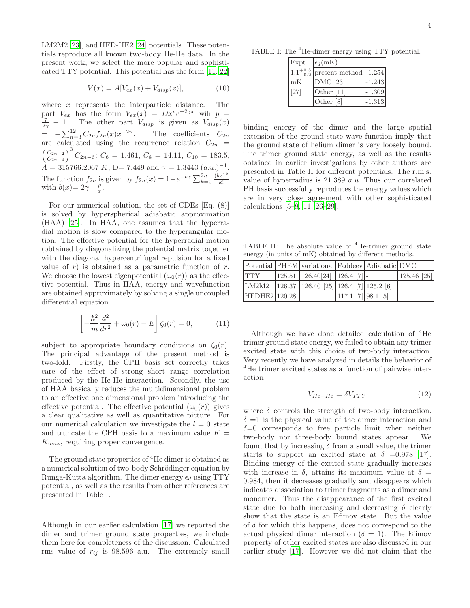LM2M2 [\[23\]](#page-7-10), and HFD-HE2 [\[24\]](#page-7-11) potentials. These potentials reproduce all known two-body He-He data. In the present work, we select the more popular and sophisticated TTY potential. This potential has the form [\[11](#page-7-12), [22](#page-7-9)]

$$
V(x) = A[V_{ex}(x) + V_{disp}(x)],
$$
 (10)

where  $x$  represents the interparticle distance. The part  $V_{ex}$  has the form  $V_{ex}(x) = Dx^p e^{-2\gamma x}$  wih  $p =$  $\frac{7}{2\gamma}$  – 1. The other part  $V_{disp}$  is given as  $V_{disp}(x)$  $= -\sum_{n=3}^{12} C_{2n} f_{2n}(x) x^{-2n}$ . The coefficients  $C_{2n}$ are calculated using the recurrence relation  $C_{2n}$  =  $\int \frac{C_{2n-2}}{2}$  $\frac{C_{2n-2}}{C_{2n-4}}$ <sup>3</sup>  $C_{2n-6}$ ;  $C_6 = 1.461$ ,  $C_8 = 14.11$ ,  $C_{10} = 183.5$ ,  $\mathring{A} = 315766.2067 \, K, \, \mathring{D} = 7.449 \text{ and } \gamma = 1.3443 \, (a.u.)^{-1}.$ The function  $f_{2n}$  is given by  $f_{2n}(x) = 1 - e^{-bx} \sum_{k=0}^{2n} \frac{(bx)^k}{k!}$ The function  $f_{2n}$  is given by  $f_{2n}(x) = 1$  c  $\angle k=0$  k!<br>with  $b(x) = 2\gamma - \frac{p}{x}$ .

For our numerical solution, the set of CDEs [Eq. (8)] is solved by hyperspherical adiabatic approximation (HAA) [\[25\]](#page-7-13). In HAA, one assumes that the hyperradial motion is slow compared to the hyperangular motion. The effective potential for the hyperradial motion (obtained by diagonalizing the potential matrix together with the diagonal hypercentrifugal repulsion for a fixed value of  $r$ ) is obtained as a parametric function of  $r$ . We choose the lowest eigenpotential  $(\omega_0(r))$  as the effective potential. Thus in HAA, energy and wavefunction are obtained approximately by solving a single uncoupled differential equation

$$
\left[ -\frac{\hbar^2}{m} \frac{d^2}{dr^2} + \omega_0(r) - E \right] \zeta_0(r) = 0, \qquad (11)
$$

subject to appropriate boundary conditions on  $\zeta_0(r)$ . The principal advantage of the present method is two-fold. Firstly, the CPH basis set correctly takes care of the effect of strong short range correlation produced by the He-He interaction. Secondly, the use of HAA basically reduces the multidimensional problem to an effective one dimensional problem introducing the effective potential. The effective potential  $(\omega_0(r))$  gives a clear qualitative as well as quantitative picture. For our numerical calculation we investigate the  $l = 0$  state and truncate the CPH basis to a maximum value  $K =$  $K_{max}$ , requiring proper convergence.

The ground state properties of <sup>4</sup>He dimer is obtained as a numerical solution of two-body Schrödinger equation by Runga-Kutta algorithm. The dimer energy  $\epsilon_d$  using TTY potential, as well as the results from other references are presented in Table I.

Although in our earlier calculation [\[17](#page-7-4)] we reported the dimer and trimer ground state properties, we include them here for completeness of the discussion. Calculated rms value of  $r_{ij}$  is 98.596 a.u. The extremely small

TABLE I: The <sup>4</sup>He-dimer energy using TTY potential.

|                                | Expt. $\epsilon_d(mK)$ |          |
|--------------------------------|------------------------|----------|
| $\overline{1.1}^{+0.3}_{-0.2}$ | present method -1.254  |          |
| mK                             | <b>DMC</b> [23]        | $-1.243$ |
| $[27]$                         | Other $[11]$           | $-1.309$ |
|                                | Other [8]              | $-1.313$ |

binding energy of the dimer and the large spatial extension of the ground state wave function imply that the ground state of helium dimer is very loosely bound. The trimer ground state energy, as well as the results obtained in earlier investigations by other authors are presented in Table II for different potentials. The r.m.s. value of hyperradius is 21.389 a.u. Thus our correlated PH basis successfully reproduces the energy values which are in very close agreement with other sophisticated calculations [\[5](#page-6-4)[–8](#page-7-14), [11](#page-7-12), [26](#page-7-15)[–29](#page-7-16)].

TABLE II: The absolute value of  ${}^{4}$ He-trimer ground state energy (in units of mK) obtained by different methods.

|               | Potential PHEM variational Faddeev Adiabatic DMC     |                      |               |
|---------------|------------------------------------------------------|----------------------|---------------|
| <b>TTY</b>    | $125.51$ $126.40[24]$ $126.4$ [7] -                  |                      | $125.46$ [25] |
|               | LM2M2   126.37   126.40 [25]   126.4 [7]   125.2 [6] |                      |               |
| HFDHE2 120.28 |                                                      | $117.1$ [7] 98.1 [5] |               |

Although we have done detailed calculation of  ${}^{4}$ He trimer ground state energy, we failed to obtain any trimer excited state with this choice of two-body interaction. Very recently we have analyzed in details the behavior of <sup>4</sup>He trimer excited states as a function of pairwise interaction

$$
V_{He-He} = \delta V_{TTY} \tag{12}
$$

where  $\delta$  controls the strength of two-body interaction.  $\delta =1$  is the physical value of the dimer interaction and  $\delta=0$  corresponds to free particle limit when neither two-body nor three-body bound states appear. We found that by increasing  $\delta$  from a small value, the trimer starts to support an excited state at  $\delta = 0.978$  [\[17\]](#page-7-4). Binding energy of the excited state gradually increases with increase in  $\delta$ , attains its maximum value at  $\delta =$ 0.984, then it decreases gradually and disappears which indicates dissociation to trimer fragments as a dimer and monomer. Thus the disappearance of the first excited state due to both increasing and decreasing  $\delta$  clearly show that the state is an Efimov state. But the value of  $\delta$  for which this happens, does not correspond to the actual physical dimer interaction ( $\delta = 1$ ). The Efimov property of other excited states are also discussed in our earlier study [\[17\]](#page-7-4). However we did not claim that the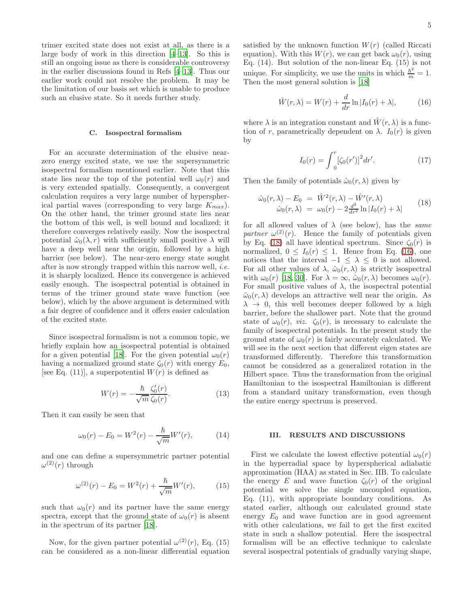trimer excited state does not exist at all, as there is a large body of work in this direction [\[4](#page-6-3)[–13](#page-7-0)]. So this is still an ongoing issue as there is considerable controversy in the earlier discussions found in Refs [\[4](#page-6-3)[–13\]](#page-7-0). Thus our earlier work could not resolve the problem. It may be the limitation of our basis set which is unable to produce such an elusive state. So it needs further study.

#### C. Isospectral formalism

For an accurate determination of the elusive nearzero energy excited state, we use the supersymmetric isospectral formalism mentioned earlier. Note that this state lies near the top of the potential well  $\omega_0(r)$  and is very extended spatially. Consequently, a convergent calculation requires a very large number of hyperspherical partial waves (corresponding to very large  $K_{max}$ ). On the other hand, the trimer ground state lies near the bottom of this well, is well bound and localized; it therefore converges relatively easily. Now the isospectral potential  $\hat{\omega}_0(\lambda, r)$  with sufficiently small positive  $\lambda$  will have a deep well near the origin, followed by a high barrier (see below). The near-zero energy state sought after is now strongly trapped within this narrow well, i.e. it is sharply localized. Hence its convergence is achieved easily enough. The isospectral potential is obtained in terms of the trimer ground state wave function (see below), which by the above argument is determined with a fair degree of confidence and it offers easier calculation of the excited state.

Since isospectral formalism is not a common topic, we briefly explain how an isospectral potential is obtained for a given potential [\[18\]](#page-7-5). For the given potential  $\omega_0(r)$ having a normalized ground state  $\zeta_0(r)$  with energy  $E_0$ , [see Eq. (11)], a superpotential  $W(r)$  is defined as

$$
W(r) = -\frac{\hbar}{\sqrt{m}} \frac{\zeta_0'(r)}{\zeta_0(r)}.\tag{13}
$$

Then it can easily be seen that

$$
\omega_0(r) - E_0 = W^2(r) - \frac{\hbar}{\sqrt{m}} W'(r), \quad (14)
$$

and one can define a supersymmetric partner potential  $\omega^{(2)}(r)$  through

$$
\omega^{(2)}(r) - E_0 = W^2(r) + \frac{\hbar}{\sqrt{m}} W'(r), \qquad (15)
$$

such that  $\omega_0(r)$  and its partner have the same energy spectra, except that the ground state of  $\omega_0(r)$  is absent in the spectrum of its partner [\[18\]](#page-7-5).

Now, for the given partner potential  $\omega^{(2)}(r)$ , Eq. (15) can be considered as a non-linear differential equation satisfied by the unknown function  $W(r)$  (called Riccati equation). With this  $W(r)$ , we can get back  $\omega_0(r)$ , using Eq. (14). But solution of the non-linear Eq. (15) is not unique. For simplicity, we use the units in which  $\frac{\hbar^2}{m} = 1$ . Then the most general solution is [\[18\]](#page-7-5)

<span id="page-4-1"></span>
$$
\hat{W}(r,\lambda) = W(r) + \frac{d}{dr}\ln|I_0(r) + \lambda|,
$$
\n(16)

where  $\lambda$  is an integration constant and  $\hat{W}(r,\lambda)$  is a function of r, parametrically dependent on  $\lambda$ .  $I_0(r)$  is given by

$$
I_0(r) = \int_0^r [\zeta_0(r')]^2 dr'.
$$
 (17)

Then the family of potentials  $\hat{\omega}_0(r, \lambda)$  given by

<span id="page-4-0"></span>
$$
\hat{\omega}_0(r,\lambda) - E_0 = \hat{W}^2(r,\lambda) - \hat{W}'(r,\lambda) \n\hat{\omega}_0(r,\lambda) = \omega_0(r) - 2\frac{d^2}{dr^2} \ln|I_0(r) + \lambda|
$$
\n(18)

for all allowed values of  $\lambda$  (see below), has the *same* partner  $\omega^{(2)}(r)$ . Hence the family of potentials given by Eq. [\(18\)](#page-4-0) all have identical spectrum. Since  $\zeta_0(r)$  is normalized,  $0 \leq I_0(r) \leq 1$ . Hence from Eq. [\(16\)](#page-4-1), one notices that the interval  $-1 \leq \lambda \leq 0$  is not allowed. For all other values of  $\lambda$ ,  $\hat{\omega}_0(r, \lambda)$  is strictly isospectral with  $\omega_0(r)$  [\[18](#page-7-5), [30\]](#page-7-17). For  $\lambda = \infty$ ,  $\hat{\omega}_0(r, \lambda)$  becomes  $\omega_0(r)$ . For small positive values of  $\lambda$ , the isospectral potential  $\hat{\omega}_0(r, \lambda)$  develops an attractive well near the origin. As  $\lambda \rightarrow 0$ , this well becomes deeper followed by a high barrier, before the shallower part. Note that the ground state of  $\omega_0(r)$ , *viz.*  $\zeta_0(r)$ , is necessary to calculate the family of isospectral potentials. In the present study the ground state of  $\omega_0(r)$  is fairly accurately calculated. We will see in the next section that different eigen states are transformed differently. Therefore this transformation cannot be considered as a generalized rotation in the Hilbert space. Thus the transformation from the original Hamiltonian to the isospectral Hamiltonian is different from a standard unitary transformation, even though the entire energy spectrum is preserved.

#### III. RESULTS AND DISCUSSIONS

First we calculate the lowest effective potential  $\omega_0(r)$ in the hyperradial space by hyperspherical adiabatic approximation (HAA) as stated in Sec. IIB. To calculate the energy E and wave function  $\zeta_0(r)$  of the original potential we solve the single uncoupled equation, Eq. (11), with appropriate boundary conditions. As stated earlier, although our calculated ground state energy  $E_0$  and wave function are in good agreement with other calculations, we fail to get the first excited state in such a shallow potential. Here the isospectral formalism will be an effective technique to calculate several isospectral potentials of gradually varying shape,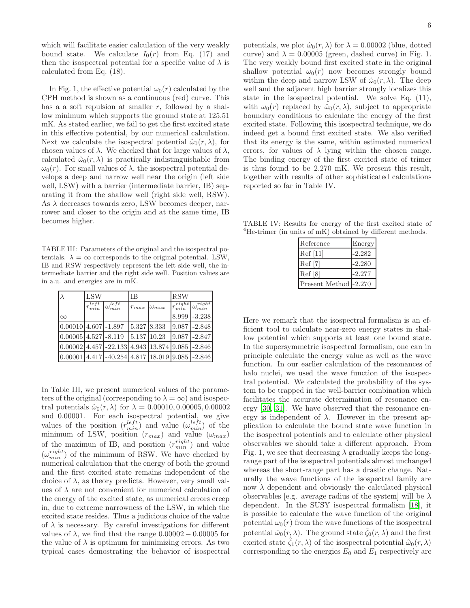which will facilitate easier calculation of the very weakly bound state. We calculate  $I_0(r)$  from Eq. (17) and then the isospectral potential for a specific value of  $\lambda$  is calculated from Eq. (18).

In Fig. 1, the effective potential  $\omega_0(r)$  calculated by the CPH method is shown as a continuous (red) curve. This has a a soft repulsion at smaller  $r$ , followed by a shallow minimum which supports the ground state at 125.51 mK. As stated earlier, we fail to get the first excited state in this effective potential, by our numerical calculation. Next we calculate the isospectral potential  $\hat{\omega}_0(r, \lambda)$ , for chosen values of  $\lambda$ . We checked that for large values of  $\lambda$ , calculated  $\hat{\omega}_0(r, \lambda)$  is practically indistinguishable from  $\omega_0(r)$ . For small values of  $\lambda$ , the isospectral potential develops a deep and narrow well near the origin (left side well, LSW) with a barrier (intermediate barrier, IB) separating it from the shallow well (right side well, RSW). As  $\lambda$  decreases towards zero, LSW becomes deeper, narrower and closer to the origin and at the same time, IB becomes higher.

TABLE III: Parameters of the original and the isospectral potentials.  $\lambda = \infty$  corresponds to the original potential. LSW, IB and RSW respectively represent the left side well, the intermediate barrier and the right side well. Position values are in a.u. and energies are in mK.

|                                             | LSW        |                                                   | <b>IB</b>   |                | <b>RSW</b>         |                        |
|---------------------------------------------|------------|---------------------------------------------------|-------------|----------------|--------------------|------------------------|
|                                             | let<br>min | let<br>$\mathsf{I}\,\omega_{\min}$                | $r_{max}$   | $\omega_{max}$ | $r^{right}$<br>min | $\omega_{min}^{right}$ |
| $\infty$                                    |            |                                                   |             |                | 8.999              | $-3.238$               |
| $0.00010$ 4.607 -1.897                      |            |                                                   | 5.327 8.333 |                | 9.087              | $-2.848$               |
| $0.00005$ 4.527 -8.119                      |            |                                                   | 5.137 10.23 |                | 9.087              | $-2.847$               |
| $0.00002$ 4.457 - 22.133 4.943 13.874 9.085 |            |                                                   |             |                |                    | $-2.846$               |
|                                             |            | $0.00001$ 4.417 -40.254 4.817 18.019 9.085 -2.846 |             |                |                    |                        |

In Table III, we present numerical values of the parameters of the original (corresponding to  $\lambda = \infty$ ) and isospectral potentials  $\hat{\omega}_0(r, \lambda)$  for  $\lambda = 0.00010, 0.00005, 0.00002$ and 0.00001. For each isospectral potential, we give values of the position  $(r_{min}^{left})$  and value  $(\omega_{min}^{left})$  of the minimum of LSW, position  $(r_{max})$  and value  $(\omega_{max})$ of the maximun of IB, and position  $(r_{min}^{right})$  and value  $(\omega_{min}^{right})$  of the minimum of RSW. We have checked by numerical calculation that the energy of both the ground and the first excited state remains independent of the choice of  $\lambda$ , as theory predicts. However, very small values of  $\lambda$  are not convenient for numerical calculation of the energy of the excited state, as numerical errors creep in, due to extreme narrowness of the LSW, in which the excited state resides. Thus a judicious choice of the value of  $\lambda$  is necessary. By careful investigations for different values of  $\lambda$ , we find that the range  $0.00002 - 0.00005$  for the value of  $\lambda$  is optimum for minimizing errors. As two typical cases demostrating the behavior of isospectral

potentials, we plot  $\hat{\omega}_0(r, \lambda)$  for  $\lambda = 0.00002$  (blue, dotted curve) and  $\lambda = 0.00005$  (green, dashed curve) in Fig. 1. The very weakly bound first excited state in the original shallow potential  $\omega_0(r)$  now becomes strongly bound within the deep and narrow LSW of  $\hat{\omega}_0(r, \lambda)$ . The deep well and the adjacent high barrier strongly localizes this state in the isospectral potential. We solve Eq. (11), with  $\omega_0(r)$  replaced by  $\hat{\omega}_0(r,\lambda)$ , subject to appropriate boundary conditions to calculate the energy of the first excited state. Following this isospectral technique, we do indeed get a bound first excited state. We also verified that its energy is the same, within estimated numerical errors, for values of  $\lambda$  lying within the chosen range. The binding energy of the first excited state of trimer is thus found to be 2.270 mK. We present this result,

TABLE IV: Results for energy of the first excited state of <sup>4</sup>He-trimer (in units of mK) obtained by different methods.

together with results of other sophisticated calculations

reported so far in Table IV.

| Reference             | Energy   |
|-----------------------|----------|
| Ref[11]               | $-2.282$ |
| Ref [7]               | $-2.280$ |
| Ref[8]                | $-2.277$ |
| Present Method -2.270 |          |

Here we remark that the isospectral formalism is an efficient tool to calculate near-zero energy states in shallow potential which supports at least one bound state. In the supersymmetric isospectral formalism, one can in principle calculate the energy value as well as the wave function. In our earlier calculation of the resonances of halo nuclei, we used the wave function of the isospectral potential. We calculated the probability of the system to be trapped in the well-barrier combination which facilitates the accurate determination of resonance energy [\[30](#page-7-17), [31\]](#page-7-18). We have observed that the resonance energy is independent of  $\lambda$ . However in the present application to calculate the bound state wave function in the isospectral potentials and to calculate other physical observables we should take a different approach. From Fig. 1, we see that decreasing  $\lambda$  gradually keeps the longrange part of the isospectral potentials almost unchanged whereas the short-range part has a drastic change. Naturally the wave functions of the isospectral family are now  $\lambda$  dependent and obviously the calculated physical observables [e.g. average radius of the system] will be  $\lambda$ dependent. In the SUSY isospectral formalism [\[18](#page-7-5)], it is possible to calculate the wave function of the original potential  $\omega_0(r)$  from the wave functions of the isospectral potential  $\hat{\omega}_0(r, \lambda)$ . The ground state  $\hat{\zeta}_0(r, \lambda)$  and the first excited state  $\zeta_1(r,\lambda)$  of the isospectral potential  $\hat{\omega}_0(r,\lambda)$ corresponding to the energies  $E_0$  and  $E_1$  respectively are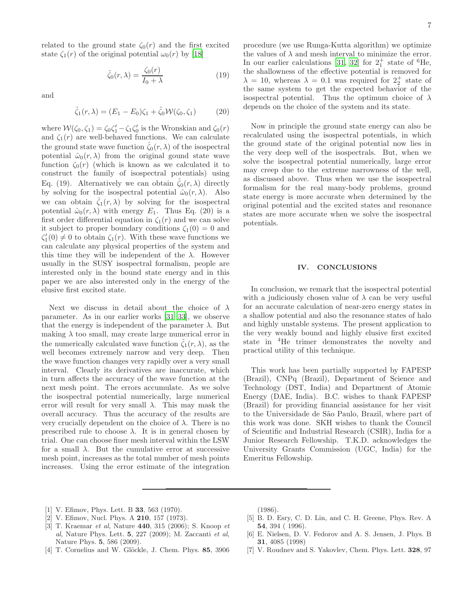related to the ground state  $\zeta_0(r)$  and the first excited state  $\zeta_1(r)$  of the original potential  $\omega_0(r)$  by [\[18\]](#page-7-5)

$$
\hat{\zeta}_0(r,\lambda) = \frac{\zeta_0(r)}{I_0 + \lambda} \tag{19}
$$

and

$$
\hat{\zeta}_1(r,\lambda) = (E_1 - E_0)\zeta_1 + \hat{\zeta}_0 \mathcal{W}(\zeta_0, \zeta_1)
$$
 (20)

where  $W(\zeta_0, \zeta_1) = \zeta_0 \zeta_1' - \zeta_1 \zeta_0'$  is the Wronskian and  $\zeta_0(r)$ and  $\zeta_1(r)$  are well-behaved functions. We can calculate the ground state wave function  $\zeta_0(r,\lambda)$  of the isospectral potential  $\hat{\omega}_0(r, \lambda)$  from the original gound state wave function  $\zeta_0(r)$  (which is known as we calculated it to construct the family of isospectral potentials) using Eq. (19). Alternatively we can obtain  $\hat{\zeta}_0(r,\lambda)$  directly by solving for the isospectral potential  $\hat{\omega}_0(r, \lambda)$ . Also we can obtain  $\zeta_1(r,\lambda)$  by solving for the isospectral potential  $\hat{\omega}_0(r, \lambda)$  with energy  $E_1$ . Thus Eq. (20) is a first order differential equation in  $\zeta_1(r)$  and we can solve it subject to proper boundary conditions  $\zeta_1(0) = 0$  and  $\zeta_1'(0) \neq 0$  to obtain  $\zeta_1(r)$ . With these wave functions we can calculate any physical properties of the system and this time they will be independent of the  $\lambda$ . However usually in the SUSY isospectral formalism, people are interested only in the bound state energy and in this paper we are also interested only in the energy of the elusive first excited state.

Next we discuss in detail about the choice of  $\lambda$ parameter. As in our earlier works [\[31](#page-7-18)[–33\]](#page-7-19), we observe that the energy is independent of the parameter  $\lambda$ . But making  $\lambda$  too small, may create large numerical error in the numerically calculated wave function  $\hat{\zeta}_1(r,\lambda)$ , as the well becomes extremely narrow and very deep. Then the wave function changes very rapidly over a very small interval. Clearly its derivatives are inaccurate, which in turn affects the accuracy of the wave function at the next mesh point. The errors accumulate. As we solve the isospectral potential numerically, large numerical error will result for very small  $\lambda$ . This may mask the overall accuracy. Thus the accuracy of the results are very crucially dependent on the choice of  $λ$ . There is no prescribed rule to choose  $\lambda$ . It is in general chosen by trial. One can choose finer mesh interval within the LSW for a small  $\lambda$ . But the cumulative error at successive mesh point, increases as the total number of mesh points increases. Using the error estimate of the integration

procedure (we use Runga-Kutta algorithm) we optimize the values of  $\lambda$  and mesh interval to minimize the error. In our earlier calculations [\[31,](#page-7-18) [32\]](#page-7-20) for  $2^+_1$  state of <sup>6</sup>He, the shallowness of the effective potential is removed for  $\lambda = 10$ , whereas  $\lambda = 0.1$  was required for  $2^+_2$  state of the same system to get the expected behavior of the isospectral potential. Thus the optimum choice of  $\lambda$ depends on the choice of the system and its state.

Now in principle the ground state energy can also be recalculated using the isospectral potentials, in which the ground state of the original potential now lies in the very deep well of the isospectrals. But, when we solve the isospectral potential numerically, large error may creep due to the extreme narrowness of the well, as discussed above. Thus when we use the isospectral formalism for the real many-body problems, ground state energy is more accurate when determined by the original potential and the excited states and resonance states are more accurate when we solve the isospectral potentials.

#### IV. CONCLUSIONS

In conclusion, we remark that the isospectral potential with a judiciously chosen value of  $\lambda$  can be very useful for an accurate calculation of near-zero energy states in a shallow potential and also the resonance states of halo and highly unstable systems. The present application to the very weakly bound and highly elusive first excited state in <sup>4</sup>He trimer demonstrates the novelty and practical utility of this technique.

This work has been partially supported by FAPESP (Brazil), CNPq (Brazil), Department of Science and Technology (DST, India) and Department of Atomic Energy (DAE, India). B.C. wishes to thank FAPESP (Brazil) for providing financial assistance for her visit to the Universidade de S˜ao Paulo, Brazil, where part of this work was done. SKH wishes to thank the Council of Scientific and Industrial Research (CSIR), India for a Junior Research Fellowship. T.K.D. acknowledges the University Grants Commission (UGC, India) for the Emeritus Fellowship.

- <span id="page-6-0"></span>[1] V. Efimov, Phys. Lett. B 33, 563 (1970).
- <span id="page-6-1"></span>[2] V. Efimov, Nucl. Phys. A 210, 157 (1973).
- <span id="page-6-2"></span>[3] T. Kraemar *et al*, Nature **440**, 315 (2006); S. Knoop *et* al, Nature Phys. Lett. 5, 227 (2009); M. Zaccanti et al, Nature Phys. 5, 586 (2009).
- <span id="page-6-3"></span>[4] T. Cornelius and W. Glöckle, J. Chem. Phys. 85, 3906

(1986).

- <span id="page-6-4"></span>[5] B. D. Esry, C. D. Lin, and C. H. Greene, Phys. Rev. A 54, 394 ( 1996).
- [6] E. Nielsen, D. V. Fedorov and A. S. Jensen, J. Phys. B 31, 4085 (1998)
- [7] V. Roudnev and S. Yakovlev, Chem. Phys. Lett. 328, 97